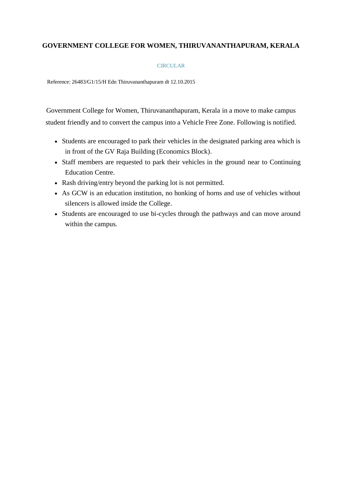## **GOVERNMENT COLLEGE FOR WOMEN, THIRUVANANTHAPURAM, KERALA**

## **CIRCULAR**

Reference: 26483/G1/15/H Edn Thiruvananthapuram dt 12.10.2015

Government College for Women, Thiruvananthapuram, Kerala in a move to make campus student friendly and to convert the campus into a Vehicle Free Zone. Following is notified.

- Students are encouraged to park their vehicles in the designated parking area which is in front of the GV Raja Building (Economics Block).
- Staff members are requested to park their vehicles in the ground near to Continuing Education Centre.
- Rash driving/entry beyond the parking lot is not permitted.
- As GCW is an education institution, no honking of horns and use of vehicles without silencers is allowed inside the College.
- Students are encouraged to use bi-cycles through the pathways and can move around within the campus.